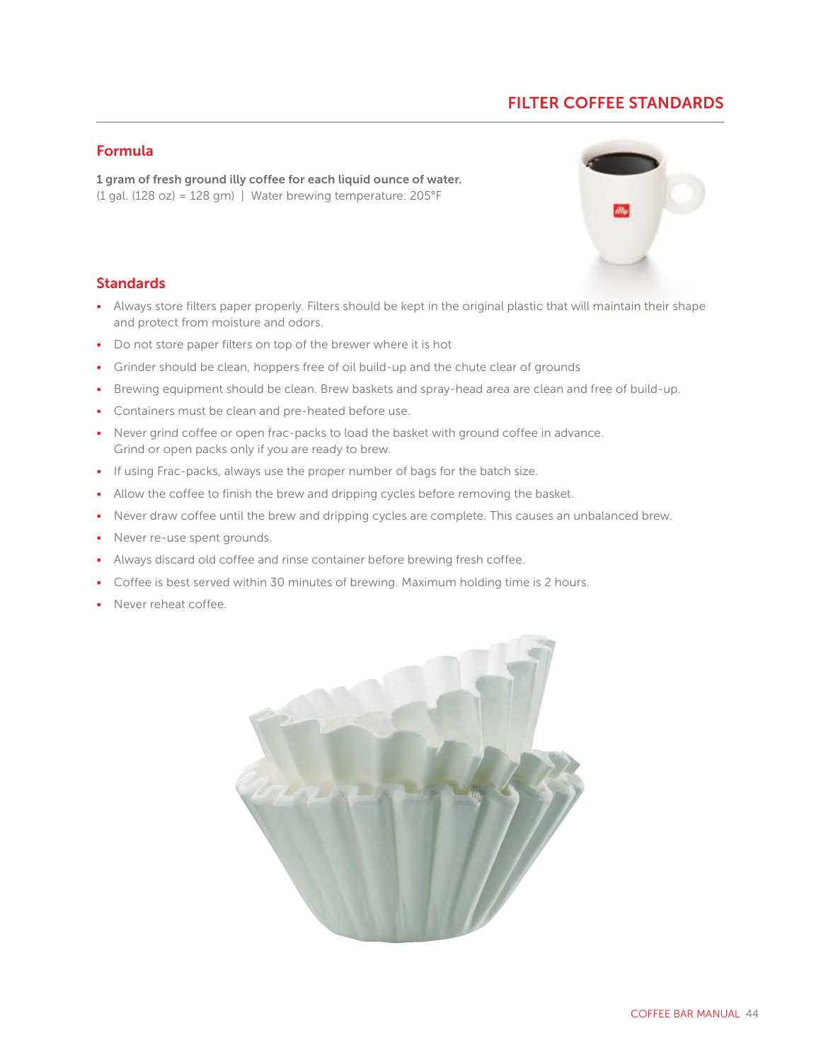# **FILTER COFFEE STANDARDS**

### **Formula**

**1 gram of fresh ground illy coffee for each liquid ounce of water.** (1 gal. (128 oz) = 128 gm) | Water brewing temperature: 205°F



### **Standards**

- Always store filters paper properly. Filters should be kept in the original plastic that will maintain their shape c and protect from moisture and odors.
- Do not store paper filters on top of the brewer where it is hot
- Grinder should be clean, hoppers free of oil build-up and the chute clear of grounds
- Brewing equipment should be clean. Brew baskets and spray-head area are clean and free of build-up.
- Containers must be clean and pre-heated before use.
- Never grind coffee or open frac-packs to load the basket with ground coffee in advance. Grind or open packs only if you are ready to brew.
- If using Frac-packs, always use the proper number of bags for the batch size.
- Allow the coffee to finish the brew and dripping cycles before removing the basket.
- Never draw coffee until the brew and dripping cycles are complete. This causes an unbalanced brew.
- Never re-use spent grounds.
- Always discard old coffee and rinse container before brewing fresh coffee.
- Coffee is best served within 30 minutes of brewing. Maximum holding time is 2 hours.
- Never reheat coffee.

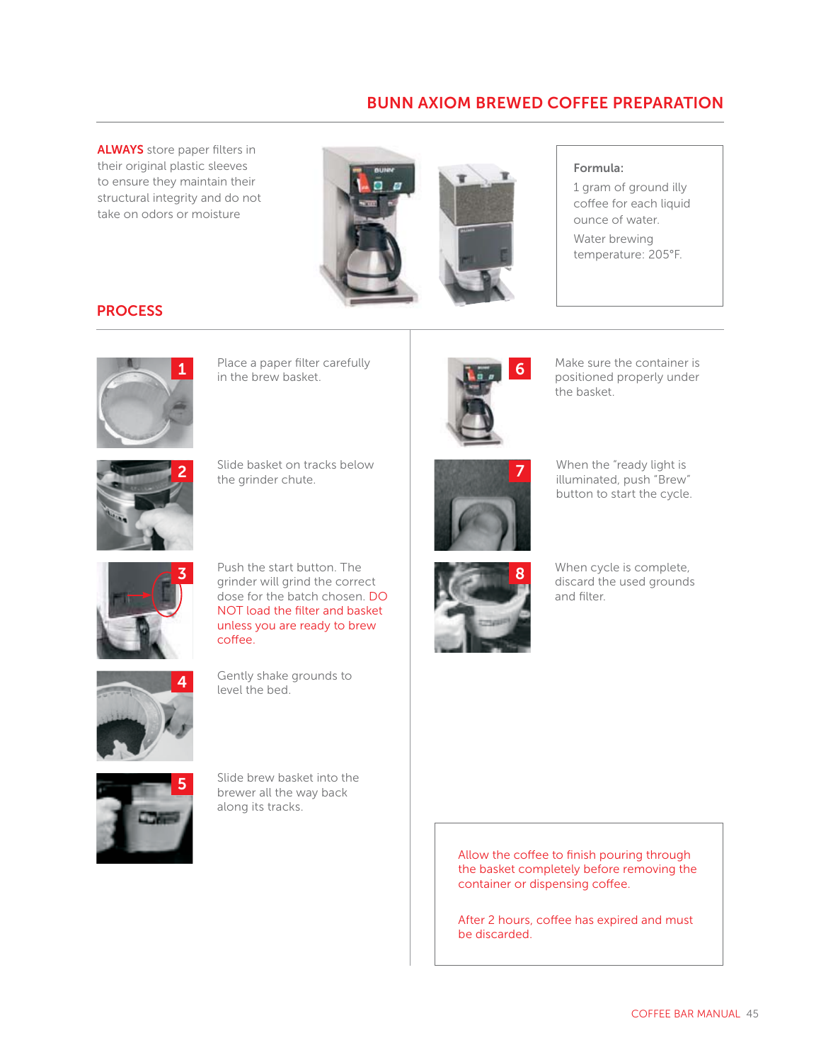## **BUNN AXIOM BREWED COFFEE PREPARATION**

**ALWAYS** store paper filters in their original plastic sleeves to ensure they maintain their structural integrity and do not take on odors or moisture





### **Formula:**

1 gram of ground illy coffee for each liquid ounce of water. Water brewing temperature: 205°F.

### **PROCESS**



Place a paper filter carefully<br>in the brew basket. Place a paper filter carefully<br>
in the brew basket.<br> **in** the brew basket.



the basket.



**2** Slide basket on tracks below the grinder chute.



**7** When the "ready light is illuminated, push "Brew"

button to start the cycle.



**3** Push the start button. The grinder will grind the correct dose for the batch chosen. DO NOT load the filter and basket unless you are ready to brew coffee.



**4** Gently shake grounds to level the bed.



**5** Slide brew basket into the brewer all the way back along its tracks.



**8** When cycle is complete, discard the used grounds and filter.

Allow the coffee to finish pouring through the basket completely before removing the container or dispensing coffee.

After 2 hours, coffee has expired and must be discarded.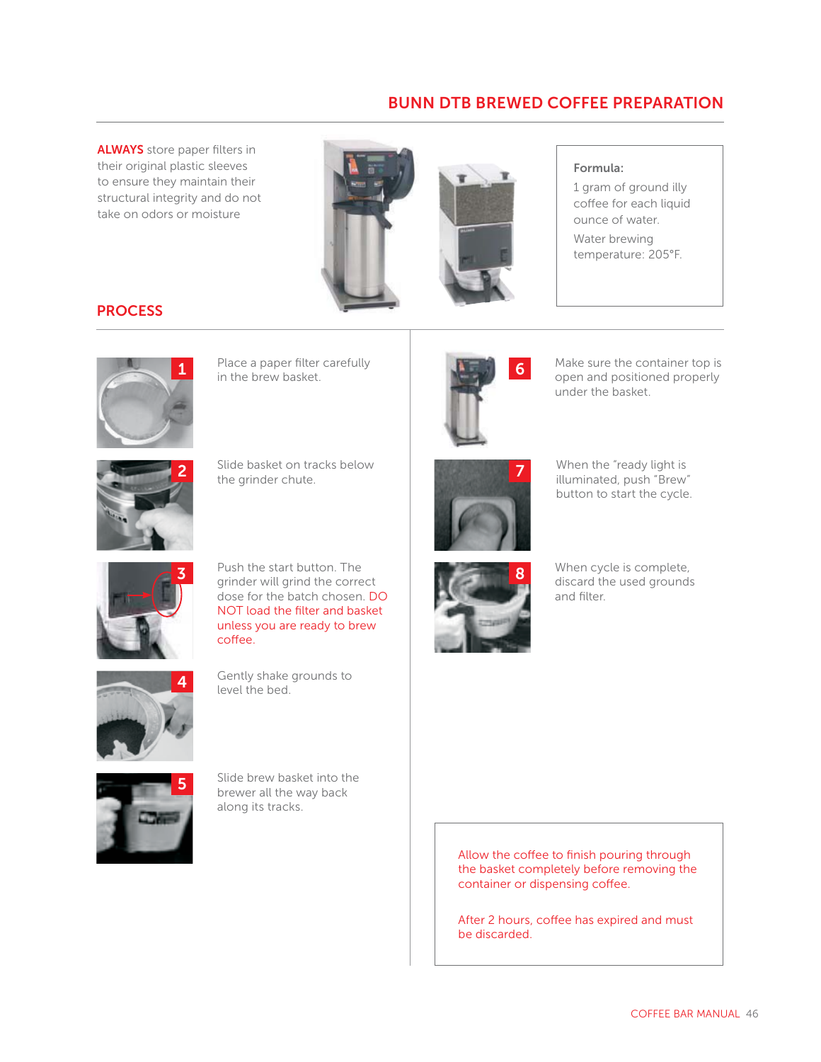## **BUNN DTB BREWED COFFEE PREPARATION**

**ALWAYS** store paper filters in their original plastic sleeves to ensure they maintain their structural integrity and do not take on odors or moisture



### **Formula:**

1 gram of ground illy coffee for each liquid ounce of water. Water brewing temperature: 205°F.

### **PROCESS**



Place a paper filter carefully<br>in the brew basket.



Place a paper filter carefully **1999 Container is a matter of the container top is container top is container top is container top is container top is container top is container top is container top is container top is con** under the basket.



**2** Slide basket on tracks below the grinder chute.



**7** When the "ready light is

illuminated, push "Brew" button to start the cycle.



**3** Push the start button. The grinder will grind the correct dose for the batch chosen. DO NOT load the filter and basket unless you are ready to brew coffee.



**4** Gently shake grounds to level the bed.



**5** Slide brew basket into the brewer all the way back along its tracks.



**8** When cycle is complete, discard the used grounds and filter.

Allow the coffee to finish pouring through the basket completely before removing the container or dispensing coffee.

After 2 hours, coffee has expired and must be discarded.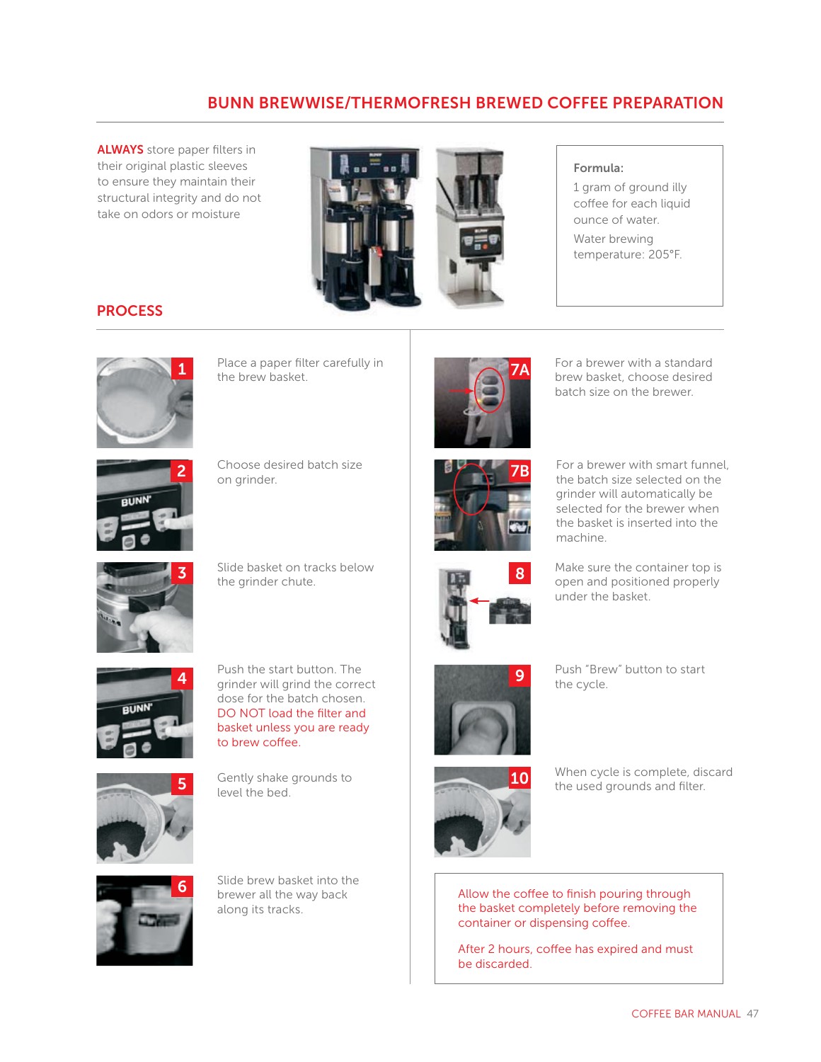# **BUNN BREWWISE/THERMOFRESH BREWED COFFEE PREPARATION**

**ALWAYS** store paper filters in their original plastic sleeves to ensure they maintain their structural integrity and do not take on odors or moisture



#### **Formula:**

1 gram of ground illy coffee for each liquid ounce of water. Water brewing temperature: 205°F.

### **PROCESS**



**1** Place a paper filter carefully in the brew basket.



**7A** For a brewer with a standard<br>brew basket, choose desired batch size on the brewer.



**2** Choose desired batch size on grinder.



**3** Slide basket on tracks below the grinder chute.



**7B**







**4** Push the start button. The grinder will grind the correct dose for the batch chosen. DO NOT load the filter and basket unless you are ready to brew coffee.





**5** Gently shake grounds to

level the bed.



**9** Push "Brew" button to start the cycle.



Allow the coffee to finish pouring through the basket completely before removing the container or dispensing coffee.

After 2 hours, coffee has expired and must be discarded.



**6** Slide brew basket into the brewer all the way back along its tracks.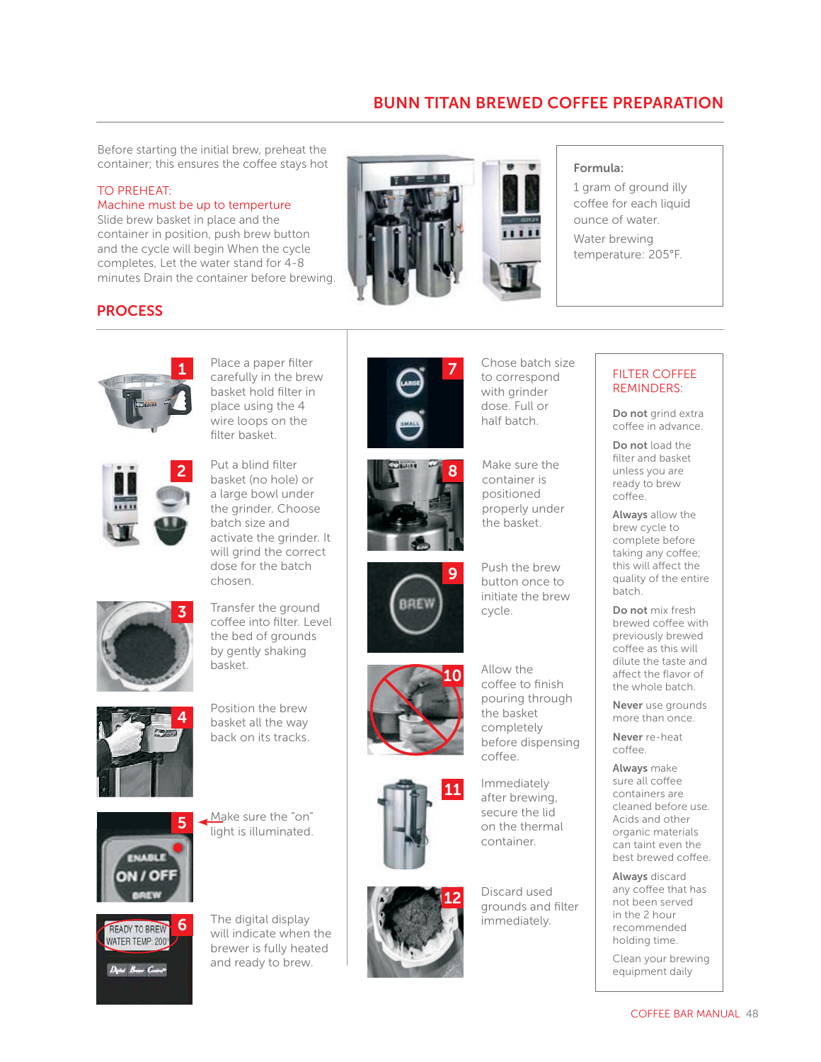# **BUNN TITAN BREWED COFFEE PREPARATION**

Before starting the initial brew, preheat the container; this ensures the coffee stays hot

#### TO PREHEAT:

### Machine must be up to temperture

Slide brew basket in place and the container in position, push brew button and the cycle will begin When the cycle completes, Let the water stand for 4-8 minutes Drain the container before brewing.



#### **Formula:**

1 gram of ground illy coffee for each liquid ounce of water. Water brewing temperature: 205°F.

### **PROCESS**



**1** Place a paper filter carefully in the brew basket hold filter in place using the 4 wire loops on the filter basket.



**2** Put a blind filter<br>basket (no hole) or a large bowl under the grinder. Choose batch size and activate the grinder. It will grind the correct dose for the batch chosen.



**3** Transfer the ground coffee into filter. Level the bed of grounds by gently shaking basket.











**i** The digital display **in the digital display immediately**. will indicate when the brewer is fully heated and ready to brew.





BREW

Make sure the dose. Full or half batch.

Chose batch size to correspond with grinder

container is positioned properly under the basket.

**9** Push the brew button once to initiate the brew cycle.



**11** Immediately after brewing, secure the lid on the thermal container.



**12** Discard used grounds and filter

### FILTER COFFEE REMINDERS:

**Do not** grind extra coffee in advance.

**Do not** load the filter and basket unless you are ready to brew coffee.

**Always** allow the brew cycle to complete before taking any coffee; this will affect the quality of the entire batch.

**Do not** mix fresh brewed coffee with previously brewed coffee as this will dilute the taste and affect the flavor of the whole batch.

**Never** use grounds more than once.

**Never** re-heat coffee.

**Always** make sure all coffee containers are cleaned before use. Acids and other organic materials can taint even the best brewed coffee.

**Always** discard any coffee that has not been served in the 2 hour recommended holding time.

Clean your brewing equipment daily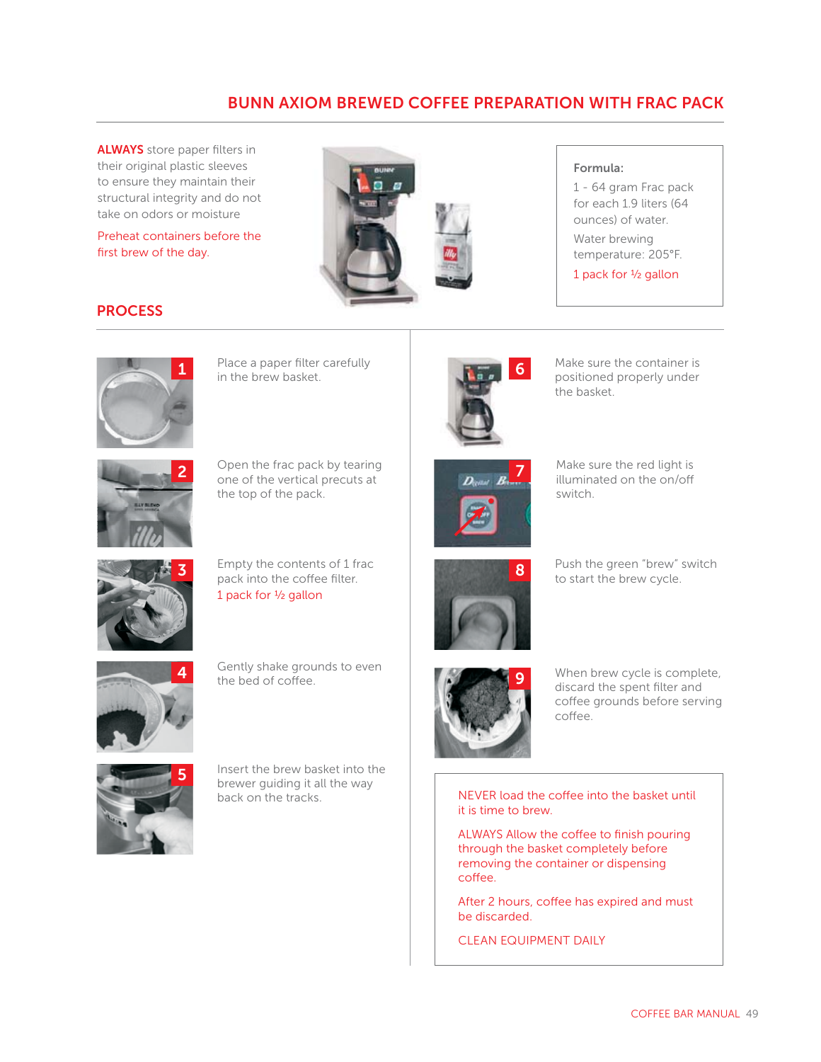# **BUNN AXIOM BREWED COFFEE PREPARATION WITH FRAC PACK**

**ALWAYS** store paper filters in their original plastic sleeves to ensure they maintain their structural integrity and do not take on odors or moisture

Preheat containers before the first brew of the day.





1 - 64 gram Frac pack for each 1.9 liters (64 ounces) of water. Water brewing temperature: 205°F.

1 pack for 1⁄2 gallon

## **PROCESS**



Place a paper filter carefully<br>in the brew basket. Place a paper filter carefully<br>
in the brew basket.<br> **in** the brew basket.





**2** Open the frac pack by tearing one of the vertical precuts at the top of the pack.



**3** Empty the contents of 1 frac pack into the coffee filter. 1 pack for 1⁄2 gallon



**4** Gently shake grounds to even the bed of coffee.



**5** Insert the brew basket into the brewer guiding it all the way back on the tracks.



the basket.



**7** Make sure the red light is illuminated on the on/off switch.



to start the brew cycle.



When brew cycle is complete, discard the spent filter and coffee grounds before serving coffee.

NEVER load the coffee into the basket until it is time to brew.

ALWAYS Allow the coffee to finish pouring through the basket completely before removing the container or dispensing coffee.

After 2 hours, coffee has expired and must be discarded.

CLEAN EQUIPMENT DAILY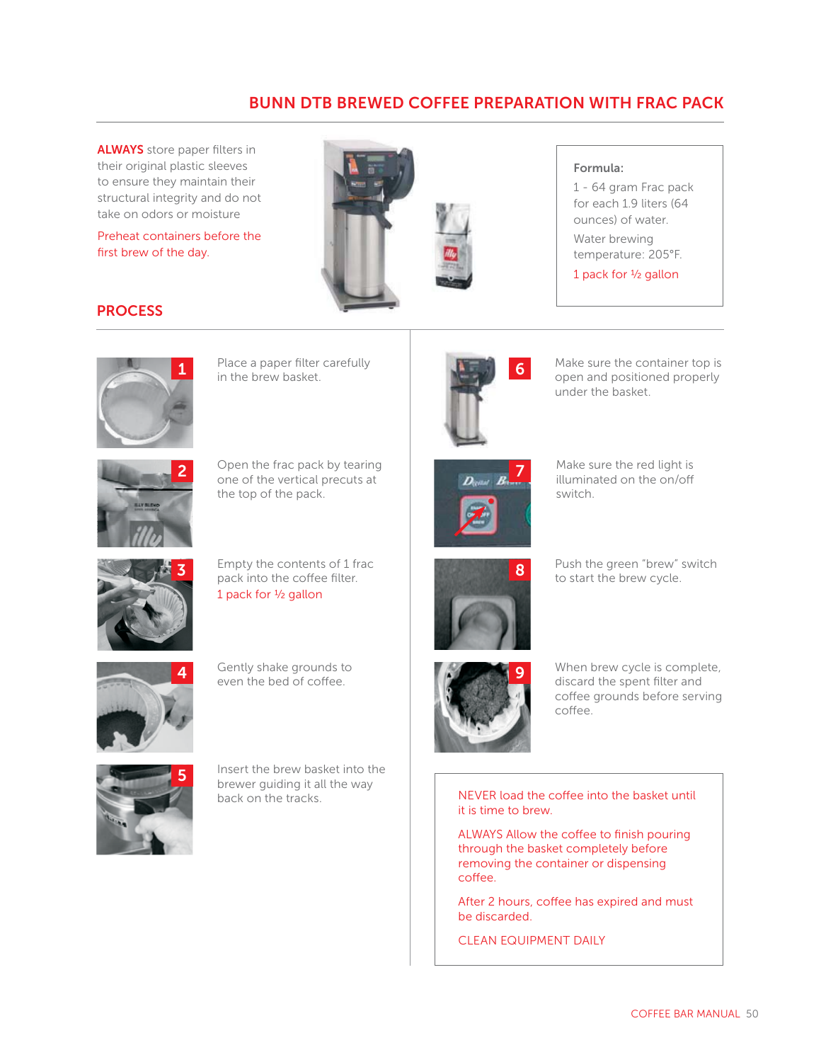## **BUNN DTB BREWED COFFEE PREPARATION WITH FRAC PACK**

**ALWAYS** store paper filters in their original plastic sleeves to ensure they maintain their structural integrity and do not take on odors or moisture

Preheat containers before the first brew of the day.



#### **Formula:**

1 - 64 gram Frac pack for each 1.9 liters (64 ounces) of water. Water brewing temperature: 205°F.

1 pack for 1⁄2 gallon

## **PROCESS**



Place a paper filter carefully<br>in the brew basket.



Place a paper filter carefully **1999 Container is a matter of the container top is container top is container top is container top is container top is container top is container top is container top is container top is con** under the basket.



**2** Open the frac pack by tearing one of the vertical precuts at the top of the pack.



**3** Empty the contents of 1 frac pack into the coffee filter. 1 pack for 1⁄2 gallon



**4** Gently shake grounds to even the bed of coffee.



**5** Insert the brew basket into the brewer guiding it all the way back on the tracks.



**7** Make sure the red light is illuminated on the on/off switch.



Push the green "brew" switch to start the brew cycle.



When brew cycle is complete, discard the spent filter and coffee grounds before serving coffee.

NEVER load the coffee into the basket until it is time to brew.

ALWAYS Allow the coffee to finish pouring through the basket completely before removing the container or dispensing coffee.

After 2 hours, coffee has expired and must be discarded.

CLEAN EQUIPMENT DAILY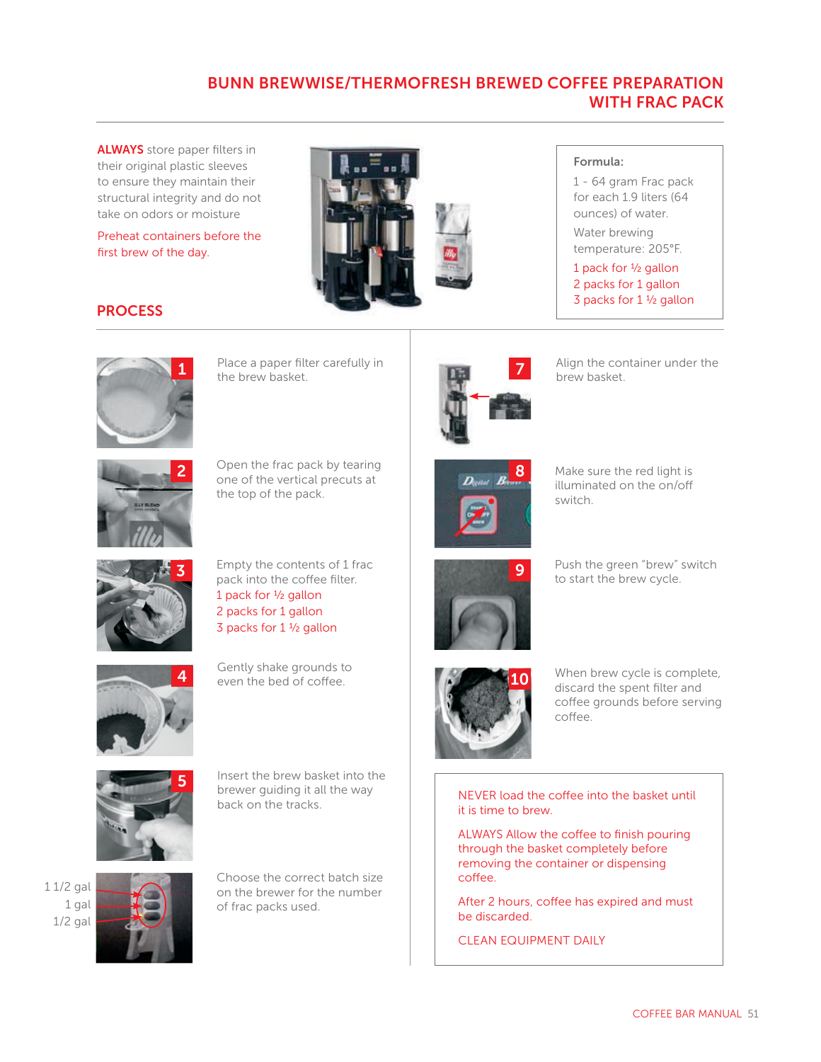# **BUNN BREWWISE/THERMOFRESH BREWED COFFEE PREPARATION WITH FRAC PACK**

**ALWAYS** store paper filters in their original plastic sleeves to ensure they maintain their structural integrity and do not take on odors or moisture

Preheat containers before the first brew of the day.



## **Formula:**

1 - 64 gram Frac pack for each 1.9 liters (64 ounces) of water.

Water brewing temperature: 205°F.

1 pack for 1⁄2 gallon 2 packs for 1 gallon

3 packs for 1 1/2 gallon

## **PROCESS**



**1** Place a paper filter carefully in the brew basket.



Align the container under the brew basket. **7**



**2** Open the frac pack by tearing one of the vertical precuts at the top of the pack.



**9**

**2 8** Make sure the red light is illuminated on the on/off

switch.



**3** Empty the contents of 1 frac pack into the coffee filter. 1 pack for 1⁄2 gallon 2 packs for 1 gallon



Push the green "brew" switch to start the brew cycle.



Gently shake grounds to even the bed of coffee.

3 packs for 1 1/2 gallon



**5** Insert the brew basket into the brewer guiding it all the way back on the tracks.

1 1/2 gal 1 gal 1/2 gal



**66 Choose the correct batch size**<br> **Example 20** on the brewer for the number of frac packs used.



When brew cycle is complete, discard the spent filter and coffee grounds before serving coffee.

NEVER load the coffee into the basket until it is time to brew.

ALWAYS Allow the coffee to finish pouring through the basket completely before removing the container or dispensing coffee.

After 2 hours, coffee has expired and must be discarded.

CLEAN EQUIPMENT DAILY